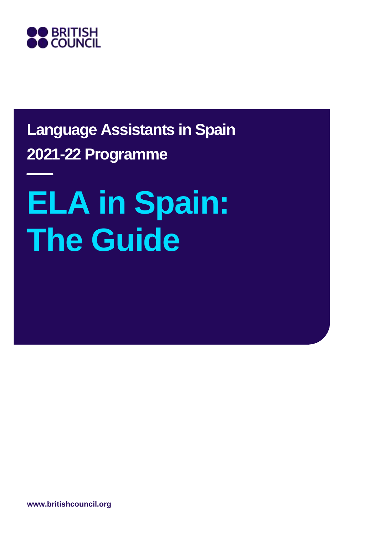

# **Language Assistants in Spain 2021-22 Programme**

# **ELA in Spain: The Guide**

**www.britishcouncil.org**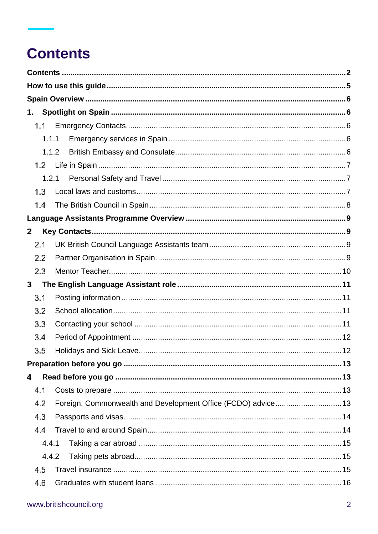# <span id="page-1-0"></span>**Contents**

| 1.  |       |                                                               |  |
|-----|-------|---------------------------------------------------------------|--|
|     | 1.1   |                                                               |  |
|     | 1.1.1 |                                                               |  |
|     | 1.1.2 |                                                               |  |
|     | 1.2   |                                                               |  |
|     | 1.2.1 |                                                               |  |
| 1.3 |       |                                                               |  |
| 1.4 |       |                                                               |  |
|     |       |                                                               |  |
| 2   |       |                                                               |  |
| 2.1 |       |                                                               |  |
| 2.2 |       |                                                               |  |
| 2.3 |       |                                                               |  |
| 3   |       |                                                               |  |
| 3.1 |       |                                                               |  |
| 3.2 |       |                                                               |  |
| 3.3 |       |                                                               |  |
| 3.4 |       |                                                               |  |
| 3.5 |       |                                                               |  |
|     |       |                                                               |  |
| 4   |       |                                                               |  |
| 4.1 |       |                                                               |  |
| 4.2 |       | Foreign, Commonwealth and Development Office (FCDO) advice 13 |  |
| 4.3 |       |                                                               |  |
| 4.4 |       |                                                               |  |
|     | 4.4.1 |                                                               |  |
|     | 4.4.2 |                                                               |  |
| 4.5 |       |                                                               |  |
| 4.6 |       |                                                               |  |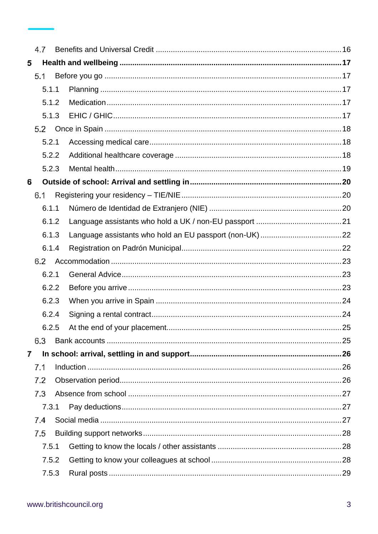|   | 4.7 |       |  |  |
|---|-----|-------|--|--|
| 5 |     |       |  |  |
|   | 5.1 |       |  |  |
|   |     | 5.1.1 |  |  |
|   |     | 5.1.2 |  |  |
|   |     | 5.1.3 |  |  |
|   | 5.2 |       |  |  |
|   |     | 5.2.1 |  |  |
|   |     | 5.2.2 |  |  |
|   |     | 5.2.3 |  |  |
| 6 |     |       |  |  |
|   | 6.1 |       |  |  |
|   |     | 6.1.1 |  |  |
|   |     | 6.1.2 |  |  |
|   |     | 6.1.3 |  |  |
|   |     | 6.1.4 |  |  |
|   | 6.2 |       |  |  |
|   |     | 6.2.1 |  |  |
|   |     | 6.2.2 |  |  |
|   |     | 6.2.3 |  |  |
|   |     | 6.2.4 |  |  |
|   |     | 6.2.5 |  |  |
|   | 6.3 |       |  |  |
| 7 |     |       |  |  |
|   | 7.1 |       |  |  |
|   | 7.2 |       |  |  |
|   | 7.3 |       |  |  |
|   |     | 7.3.1 |  |  |
|   | 7.4 |       |  |  |
|   | 7.5 |       |  |  |
|   |     | 7.5.1 |  |  |
|   |     | 7.5.2 |  |  |
|   |     | 7.5.3 |  |  |
|   |     |       |  |  |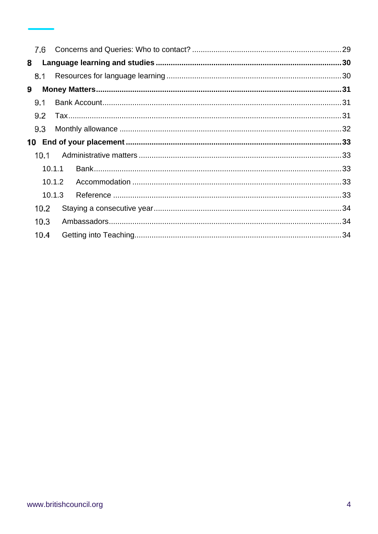| 8 |        |        |  |
|---|--------|--------|--|
|   | 8.1    |        |  |
| 9 |        |        |  |
|   | 9.1    |        |  |
|   | 9.2    |        |  |
|   | 9.3    |        |  |
|   |        |        |  |
|   | 10.1   |        |  |
|   | 10.1.1 |        |  |
|   |        | 10.1.2 |  |
|   |        | 10.1.3 |  |
|   | 10.2   |        |  |
|   | 10.3   |        |  |
|   | 10.4   |        |  |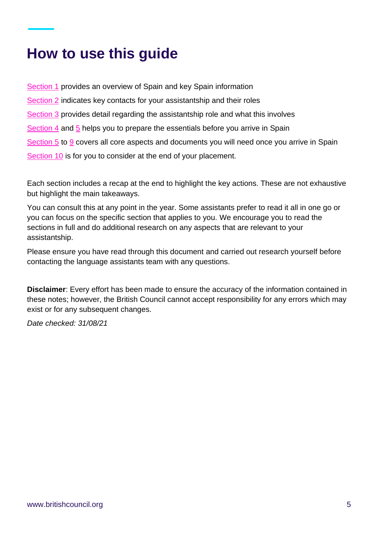# <span id="page-4-0"></span>**How to use this guide**

[Section 1](#page-5-1) provides an overview of Spain and key Spain information [Section 2](#page-8-1) indicates key contacts for your assistantship and their roles [Section 3](#page-10-0) provides detail regarding the assistantship role and what this involves [Section 4](#page-12-1) and [5](#page-16-0) helps you to prepare the essentials before you arrive in Spain [Section 5](#page-16-0) to [9](#page-29-0) covers all core aspects and documents you will need once you arrive in Spain [Section 10](#page-32-0) is for you to consider at the end of your placement.

Each section includes a recap at the end to highlight the key actions. These are not exhaustive but highlight the main takeaways.

You can consult this at any point in the year. Some assistants prefer to read it all in one go or you can focus on the specific section that applies to you. We encourage you to read the sections in full and do additional research on any aspects that are relevant to your assistantship.

Please ensure you have read through this document and carried out research yourself before contacting the language assistants team with any questions.

**Disclaimer**: Every effort has been made to ensure the accuracy of the information contained in these notes; however, the British Council cannot accept responsibility for any errors which may exist or for any subsequent changes.

*Date checked: 31/08/21*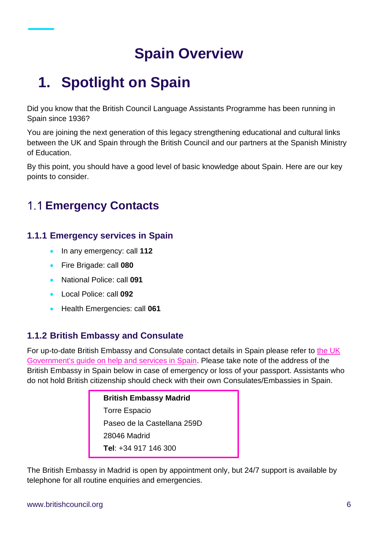# **Spain Overview**

# <span id="page-5-1"></span><span id="page-5-0"></span>**1. Spotlight on Spain**

Did you know that the British Council Language Assistants Programme has been running in Spain since 1936?

You are joining the next generation of this legacy strengthening educational and cultural links between the UK and Spain through the British Council and our partners at the Spanish Ministry of Education.

By this point, you should have a good level of basic knowledge about Spain. Here are our key points to consider.

### <span id="page-5-2"></span>**Emergency Contacts**

#### <span id="page-5-3"></span>**1.1.1 Emergency services in Spain**

- In any emergency: call **112**
- Fire Brigade: call **080**
- National Police: call **091**
- Local Police: call **092**
- Health Emergencies: call **061**

#### <span id="page-5-4"></span>**1.1.2 British Embassy and Consulate**

For up-to-date British Embassy and Consulate contact details in Spain please refer to [the UK](https://www.gov.uk/world/spain)  [Government's guide on help and services in Spain.](https://www.gov.uk/world/spain) Please take note of the address of the British Embassy in Spain below in case of emergency or loss of your passport. Assistants who do not hold British citizenship should check with their own Consulates/Embassies in Spain.

> **British Embassy Madrid** Torre Espacio Paseo de la Castellana 259D 28046 Madrid **Tel**: +34 917 146 300

The British Embassy in Madrid is open by appointment only, but 24/7 support is available by telephone for all routine enquiries and emergencies.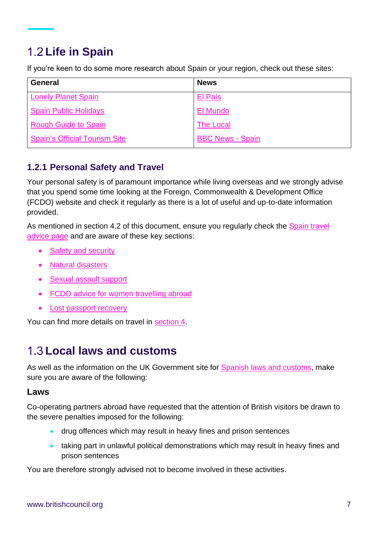### <span id="page-6-0"></span>**Life in Spain**

If you're keen to do some more research about Spain or your region, check out these sites:

| <b>General</b>                       | <b>News</b>             |
|--------------------------------------|-------------------------|
| <b>Lonely Planet Spain</b>           | El País                 |
| <b>Spain Public Holidays</b>         | El Mundo                |
| Rough Guide to Spain                 | <b>The Local</b>        |
| <b>Spain's Official Tourism Site</b> | <b>BBC News - Spain</b> |

#### <span id="page-6-1"></span>**1.2.1 Personal Safety and Travel**

Your personal safety is of paramount importance while living overseas and we strongly advise that you spend some time looking at the Foreign, Commonwealth & Development Office (FCDO) website and check it regularly as there is a lot of useful and up-to-date information provided.

As mentioned in section 4.2 of this document, ensure you regularly check the [Spain](https://www.gov.uk/foreign-travel-advice/spain) travel [advice page](https://www.gov.uk/foreign-travel-advice/spain) and are aware of these key sections:

- [Safety and security](https://www.gov.uk/foreign-travel-advice/spain/safety-and-security)
- [Natural disasters](https://www.gov.uk/foreign-travel-advice/spain/natural-disasters)
- [Sexual assault support](https://www.gov.uk/government/publications/rape-and-sexual-assault-abroad-returning-to-the-uk)
- [FCDO advice for women travelling abroad](https://www.gov.uk/guidance/advice-for-women-travelling-abroad)
- **[Lost passport recovery](https://www.gov.uk/world/organisations/british-embassy-madrid)**

You can find more details on travel in [section 4.](#page-12-1)

### <span id="page-6-2"></span>**Local laws and customs**

As well as the information on the UK Government site for **Spanish laws and customs**, make sure you are aware of the following:

#### **Laws**

Co-operating partners abroad have requested that the attention of British visitors be drawn to the severe penalties imposed for the following:

- drug offences which may result in heavy fines and prison sentences
- taking part in unlawful political demonstrations which may result in heavy fines and prison sentences

You are therefore strongly advised not to become involved in these activities.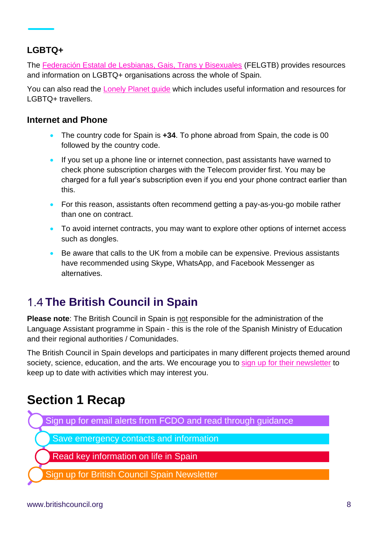#### **LGBTQ+**

The [Federación Estatal de Lesbianas, Gais, Trans y Bisexuales](https://felgtb.org/) (FELGTB) provides resources and information on LGBTQ+ organisations across the whole of Spain.

You can also read the [Lonely Planet guide](https://www.lonelyplanet.com/spain/narratives/practical-information/directory/lgbt-travellers) which includes useful information and resources for LGBTQ+ travellers.

#### **Internet and Phone**

- The country code for Spain is **+34**. To phone abroad from Spain, the code is 00 followed by the country code.
- If you set up a phone line or internet connection, past assistants have warned to check phone subscription charges with the Telecom provider first. You may be charged for a full year's subscription even if you end your phone contract earlier than this.
- For this reason, assistants often recommend getting a pay-as-you-go mobile rather than one on contract.
- To avoid internet contracts, you may want to explore other options of internet access such as dongles.
- Be aware that calls to the UK from a mobile can be expensive. Previous assistants have recommended using Skype, WhatsApp, and Facebook Messenger as alternatives.

### <span id="page-7-0"></span>**The British Council in Spain**

**Please note**: The British Council in Spain is not responsible for the administration of the Language Assistant programme in Spain - this is the role of the Spanish Ministry of Education and their regional authorities / Comunidades.

The British Council in Spain develops and participates in many different projects themed around society, science, education, and the arts. We encourage you to [sign up for their newsletter](https://www.britishcouncil.es/en/about/newsletter) to keep up to date with activities which may interest you.

### **Section 1 Recap**

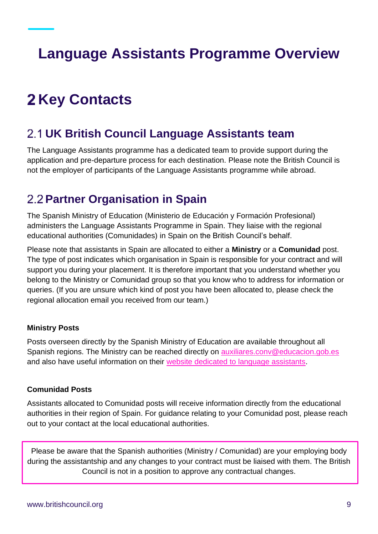# <span id="page-8-0"></span>**Language Assistants Programme Overview**

# <span id="page-8-1"></span>**2 Key Contacts**

### <span id="page-8-2"></span>**UK British Council Language Assistants team**

The Language Assistants programme has a dedicated team to provide support during the application and pre-departure process for each destination. Please note the British Council is not the employer of participants of the Language Assistants programme while abroad.

### <span id="page-8-3"></span>**Partner Organisation in Spain**

The Spanish Ministry of Education (Ministerio de Educación y Formación Profesional) administers the Language Assistants Programme in Spain. They liaise with the regional educational authorities (Comunidades) in Spain on the British Council's behalf.

Please note that assistants in Spain are allocated to either a **Ministry** or a **Comunidad** post. The type of post indicates which organisation in Spain is responsible for your contract and will support you during your placement. It is therefore important that you understand whether you belong to the Ministry or Comunidad group so that you know who to address for information or queries. (If you are unsure which kind of post you have been allocated to, please check the regional allocation email you received from our team.)

#### **Ministry Posts**

Posts overseen directly by the Spanish Ministry of Education are available throughout all Spanish regions. The Ministry can be reached directly on [auxiliares.conv@educacion.gob.es](mailto:auxiliares.conv@educacion.gob.es) and also have useful information on their website [dedicated to language assistants.](https://www.educacionyfp.gob.es/servicios-al-ciudadano/catalogo/general/99/998188/ficha.html)

#### **Comunidad Posts**

Assistants allocated to Comunidad posts will receive information directly from the educational authorities in their region of Spain. For guidance relating to your Comunidad post, please reach out to your contact at the local educational authorities.

Please be aware that the Spanish authorities (Ministry / Comunidad) are your employing body during the assistantship and any changes to your contract must be liaised with them. The British Council is not in a position to approve any contractual changes.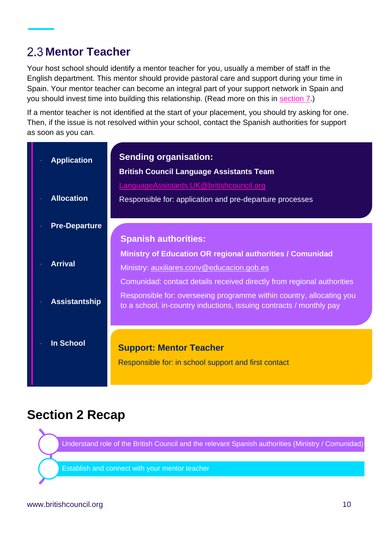### <span id="page-9-0"></span>**2.3 Mentor Teacher**

Your host school should identify a mentor teacher for you, usually a member of staff in the English department. This mentor should provide pastoral care and support during your time in Spain. Your mentor teacher can become an integral part of your support network in Spain and you should invest time into building this relationship. (Read more on this in [section](#page-25-0) 7.)

If a mentor teacher is not identified at the start of your placement, you should try asking for one. Then, if the issue is not resolved within your school, contact the Spanish authorities for support as soon as you can.

| <b>Application</b>   | <b>Sending organisation:</b><br><b>British Council Language Assistants Team</b>                                                             |
|----------------------|---------------------------------------------------------------------------------------------------------------------------------------------|
| <b>Allocation</b>    | LanguageAssistants.UK@britishcouncil.org<br>Responsible for: application and pre-departure processes                                        |
| <b>Pre-Departure</b> |                                                                                                                                             |
|                      | <b>Spanish authorities:</b>                                                                                                                 |
|                      | <b>Ministry of Education OR regional authorities / Comunidad</b>                                                                            |
| <b>Arrival</b>       | Ministry: auxiliares.conv@educacion.gob.es                                                                                                  |
|                      | Comunidad: contact details received directly from regional authorities                                                                      |
| <b>Assistantship</b> | Responsible for: overseeing programme within country, allocating you<br>to a school, in-country inductions, issuing contracts / monthly pay |
|                      |                                                                                                                                             |
| <b>In School</b>     | <b>Support: Mentor Teacher</b>                                                                                                              |
|                      | Responsible for: in school support and first contact                                                                                        |

### **Section 2 Recap**

Understand role of the British Council and the relevant Spanish authorities (Ministry / Comunidad)

Establish and connect with your mentor teacher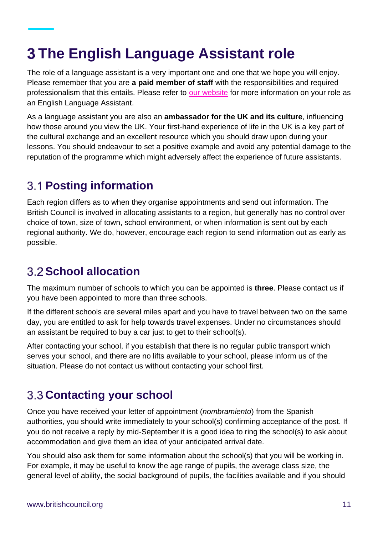# <span id="page-10-0"></span>**The English Language Assistant role**

The role of a language assistant is a very important one and one that we hope you will enjoy. Please remember that you are **a paid member of staff** with the responsibilities and required professionalism that this entails. Please refer to [our website](https://www.britishcouncil.org/study-work-abroad/outside-uk/english-language-assistants) for more information on your role as an English Language Assistant.

As a language assistant you are also an **ambassador for the UK and its culture**, influencing how those around you view the UK. Your first-hand experience of life in the UK is a key part of the cultural exchange and an excellent resource which you should draw upon during your lessons. You should endeavour to set a positive example and avoid any potential damage to the reputation of the programme which might adversely affect the experience of future assistants.

### <span id="page-10-1"></span>**Posting information**

Each region differs as to when they organise appointments and send out information. The British Council is involved in allocating assistants to a region, but generally has no control over choice of town, size of town, school environment, or when information is sent out by each regional authority. We do, however, encourage each region to send information out as early as possible.

### <span id="page-10-2"></span>**School allocation**

The maximum number of schools to which you can be appointed is **three**. Please contact us if you have been appointed to more than three schools.

If the different schools are several miles apart and you have to travel between two on the same day, you are entitled to ask for help towards travel expenses. Under no circumstances should an assistant be required to buy a car just to get to their school(s).

After contacting your school, if you establish that there is no regular public transport which serves your school, and there are no lifts available to your school, please inform us of the situation. Please do not contact us without contacting your school first.

### <span id="page-10-3"></span>**Contacting your school**

Once you have received your letter of appointment (*nombramiento*) from the Spanish authorities, you should write immediately to your school(s) confirming acceptance of the post. If you do not receive a reply by mid-September it is a good idea to ring the school(s) to ask about accommodation and give them an idea of your anticipated arrival date.

You should also ask them for some information about the school(s) that you will be working in. For example, it may be useful to know the age range of pupils, the average class size, the general level of ability, the social background of pupils, the facilities available and if you should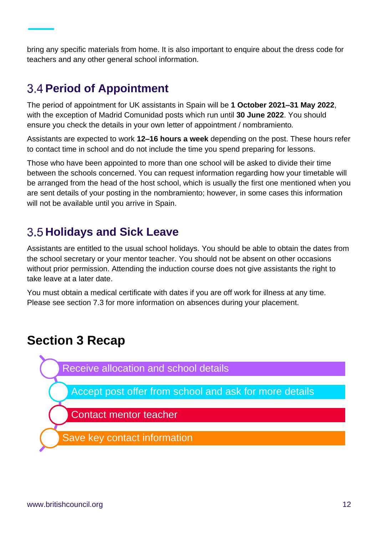bring any specific materials from home. It is also important to enquire about the dress code for teachers and any other general school information.

### <span id="page-11-0"></span>**Period of Appointment**

The period of appointment for UK assistants in Spain will be **1 October 2021–31 May 2022**, with the exception of Madrid Comunidad posts which run until **30 June 2022**. You should ensure you check the details in your own letter of appointment / nombramiento*.*

Assistants are expected to work **12–16 hours a week** depending on the post. These hours refer to contact time in school and do not include the time you spend preparing for lessons.

Those who have been appointed to more than one school will be asked to divide their time between the schools concerned. You can request information regarding how your timetable will be arranged from the head of the host school, which is usually the first one mentioned when you are sent details of your posting in the nombramiento; however, in some cases this information will not be available until you arrive in Spain.

### <span id="page-11-1"></span>**3.5 Holidays and Sick Leave**

Assistants are entitled to the usual school holidays. You should be able to obtain the dates from the school secretary or your mentor teacher. You should not be absent on other occasions without prior permission. Attending the induction course does not give assistants the right to take leave at a later date.

You must obtain a medical certificate with dates if you are off work for illness at any time. Please see section 7.3 for more information on absences during your placement.

### **Section 3 Recap**



Accept post offer from school and ask for more details

Contact mentor teacher

Save key contact information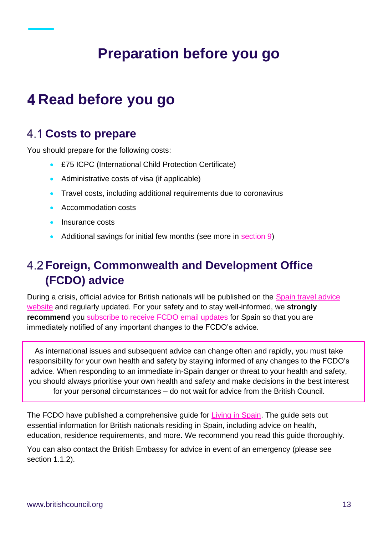# **Preparation before you go**

## <span id="page-12-1"></span><span id="page-12-0"></span>**Read before you go**

### <span id="page-12-2"></span>**Costs to prepare**

You should prepare for the following costs:

- £75 ICPC (International Child Protection Certificate)
- Administrative costs of visa (if applicable)
- Travel costs, including additional requirements due to coronavirus
- Accommodation costs
- Insurance costs
- Additional savings for initial few months (see more in [section 9\)](#page-30-0)

### <span id="page-12-3"></span>**Foreign, Commonwealth and Development Office (FCDO) advice**

During a crisis, official advice for British nationals will be published on the Spain travel advice [website](https://www.gov.uk/foreign-travel-advice/spain) and regularly updated. For your safety and to stay well-informed, we **strongly recommend** you [subscribe to receive FCDO email updates](https://www.gov.uk/foreign-travel-advice/spain/email-signup) for Spain so that you are immediately notified of any important changes to the FCDO's advice.

As international issues and subsequent advice can change often and rapidly, you must take responsibility for your own health and safety by staying informed of any changes to the FCDO's advice. When responding to an immediate in-Spain danger or threat to your health and safety, you should always prioritise your own health and safety and make decisions in the best interest for your personal circumstances – do not wait for advice from the British Council.

The FCDO have published a comprehensive guide for [Living in Spain.](https://www.gov.uk/guidance/living-in-spain) The guide sets out essential information for British nationals residing in Spain, including advice on health, education, residence requirements, and more. We recommend you read this guide thoroughly.

You can also contact the British Embassy for advice in event of an emergency (please see section 1.1.2).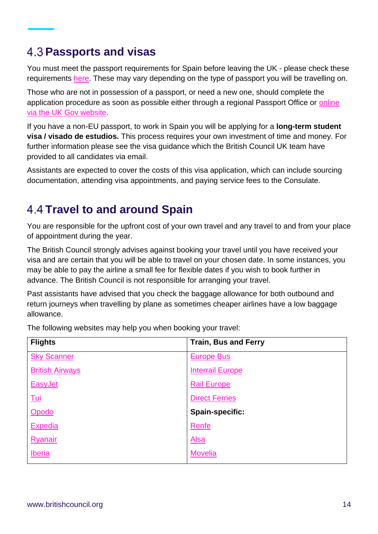### <span id="page-13-0"></span>**Passports and visas**

You must meet the passport requirements for Spain before leaving the UK - please check these requirements [here.](https://www.gov.uk/check-a-passport-travel-europe) These may vary depending on the type of passport you will be travelling on.

Those who are not in possession of a passport, or need a new one, should complete the application procedure as soon as possible either through a regional Passport Office or [online](https://www.gov.uk/browse/abroad/passports)  [via the UK Gov website.](https://www.gov.uk/browse/abroad/passports)

If you have a non-EU passport, to work in Spain you will be applying for a **long-term student visa / visado de estudios.** This process requires your own investment of time and money. For further information please see the visa guidance which the British Council UK team have provided to all candidates via email.

Assistants are expected to cover the costs of this visa application, which can include sourcing documentation, attending visa appointments, and paying service fees to the Consulate.

### <span id="page-13-1"></span>**Travel to and around Spain**

You are responsible for the upfront cost of your own travel and any travel to and from your place of appointment during the year.

The British Council strongly advises against booking your travel until you have received your visa and are certain that you will be able to travel on your chosen date. In some instances, you may be able to pay the airline a small fee for flexible dates if you wish to book further in advance. The British Council is not responsible for arranging your travel.

Past assistants have advised that you check the baggage allowance for both outbound and return journeys when travelling by plane as sometimes cheaper airlines have a low baggage allowance.

**Flights Train, Bus and Ferry** [Sky Scanner](http://www.skyscanner.net/) [British Airways](http://www.britishairways.com/) [EasyJet](https://www.easyjet.com/en) [Tui](http://www.tui.co.uk/) [Opodo](http://www.opodo.co.uk/) **[Expedia](http://www.expedia.co.uk/)** [Ryanair](https://www.ryanair.com/gb/en) [Iberia](http://www.iberia.com/gb/) [Europe Bus](https://www.europebus.co.uk/) [Interrail Europe](https://www.interrail.eu/en) [Rail Europe](https://www.raileurope.com/en-gb) [Direct Ferries](https://www.directferries.co.uk/) **Spain-specific:** [Renfe](http://www.renfe.com/es/en) [Alsa](http://www.alsa.es/) **[Movelia](http://www.movelia.es/en/)** 

The following websites may help you when booking your travel: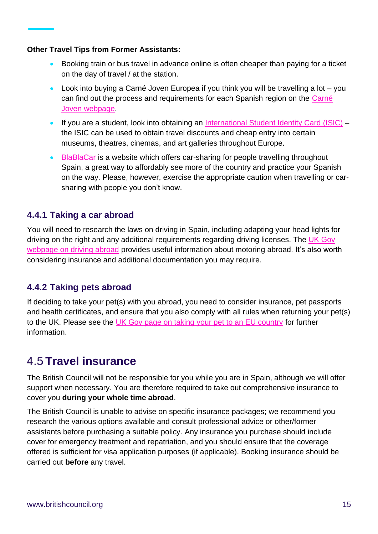#### **Other Travel Tips from Former Assistants:**

- Booking train or bus travel in advance online is often cheaper than paying for a ticket on the day of travel / at the station.
- Look into buying a Carné Joven Europea if you think you will be travelling a lot you can find out the process and requirements for each Spanish region on the [Carné](http://www.injuve.es/movilidad-y-ocio/noticia/carne-joven-european-youth-card)  [Joven webpage.](http://www.injuve.es/movilidad-y-ocio/noticia/carne-joven-european-youth-card)
- If you are a student, look into obtaining an [International Student Identity Card](https://www.isic.org/) (ISIC) the ISIC can be used to obtain travel discounts and cheap entry into certain museums, theatres, cinemas, and art galleries throughout Europe.
- [BlaBlaCar](https://www.blablacar.es/) is a website which offers car-sharing for people travelling throughout Spain, a great way to affordably see more of the country and practice your Spanish on the way. Please, however, exercise the appropriate caution when travelling or carsharing with people you don't know.

#### <span id="page-14-0"></span>**4.4.1 Taking a car abroad**

You will need to research the laws on driving in Spain, including adapting your head lights for driving on the right and any additional requirements regarding driving licenses. The UK Gov [webpage on driving abroad](http://www.gov.uk/driving-abroad) provides useful information about motoring abroad. It's also worth considering insurance and additional documentation you may require.

#### <span id="page-14-1"></span>**4.4.2 Taking pets abroad**

If deciding to take your pet(s) with you abroad, you need to consider insurance, pet passports and health certificates, and ensure that you also comply with all rules when returning your pet(s) to the UK. Please see the [UK Gov page on taking your pet to an EU country](https://www.gov.uk/taking-your-pet-abroad/travelling-to-an-eu-country-or-northern-ireland) for further information.

### <span id="page-14-2"></span>**4.5 Travel insurance**

The British Council will not be responsible for you while you are in Spain, although we will offer support when necessary. You are therefore required to take out comprehensive insurance to cover you **during your whole time abroad**.

The British Council is unable to advise on specific insurance packages; we recommend you research the various options available and consult professional advice or other/former assistants before purchasing a suitable policy. Any insurance you purchase should include cover for emergency treatment and repatriation, and you should ensure that the coverage offered is sufficient for visa application purposes (if applicable). Booking insurance should be carried out **before** any travel.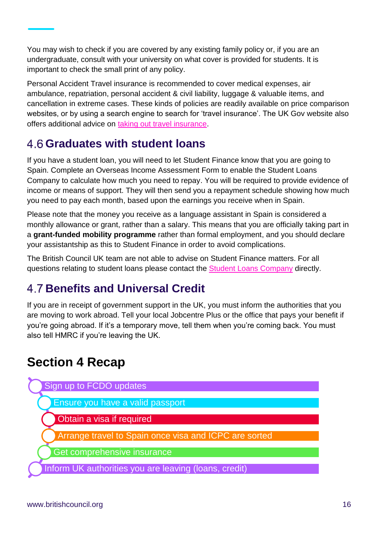You may wish to check if you are covered by any existing family policy or, if you are an undergraduate, consult with your university on what cover is provided for students. It is important to check the small print of any policy.

Personal Accident Travel insurance is recommended to cover medical expenses, air ambulance, repatriation, personal accident & civil liability, luggage & valuable items, and cancellation in extreme cases. These kinds of policies are readily available on price comparison websites, or by using a search engine to search for 'travel insurance'. The UK Gov website also offers additional advice on [taking out travel insurance.](http://www.gov.uk/foreign-travel-insurance)

### <span id="page-15-0"></span>**Graduates with student loans**

If you have a student loan, you will need to let Student Finance know that you are going to Spain. Complete an Overseas Income Assessment Form to enable the Student Loans Company to calculate how much you need to repay. You will be required to provide evidence of income or means of support. They will then send you a repayment schedule showing how much you need to pay each month, based upon the earnings you receive when in Spain.

Please note that the money you receive as a language assistant in Spain is considered a monthly allowance or grant, rather than a salary. This means that you are officially taking part in a **grant-funded mobility programme** rather than formal employment, and you should declare your assistantship as this to Student Finance in order to avoid complications.

The British Council UK team are not able to advise on Student Finance matters. For all questions relating to student loans please contact the [Student Loans Company](https://www.gov.uk/government/organisations/student-loans-company) directly.

### <span id="page-15-1"></span>**Benefits and Universal Credit**

If you are in receipt of government support in the UK, you must inform the authorities that you are moving to work abroad. Tell your local Jobcentre Plus or the office that pays your benefit if you're going abroad. If it's a temporary move, tell them when you're coming back. You must also tell HMRC if you're leaving the UK.

### **Section 4 Recap**

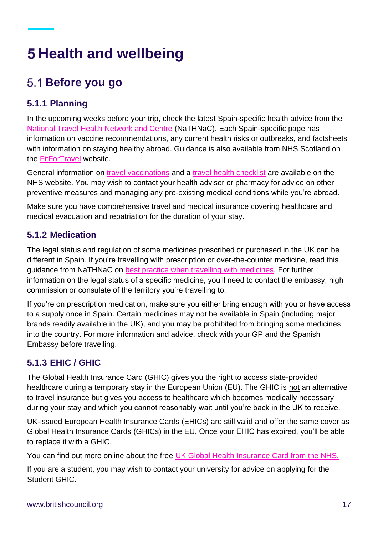# <span id="page-16-0"></span>**Health and wellbeing**

### <span id="page-16-1"></span>**Before you go**

#### <span id="page-16-2"></span>**5.1.1 Planning**

In the upcoming weeks before your trip, check the latest Spain-specific health advice from the [National Travel Health Network and Centre](https://travelhealthpro.org.uk/country/203/spain) (NaTHNaC). Each Spain-specific page has information on vaccine recommendations, any current health risks or outbreaks, and factsheets with information on staying healthy abroad. Guidance is also available from NHS Scotland on the [FitForTravel](https://www.fitfortravel.nhs.uk/destinations/europe-russia/spain) website.

General information on [travel vaccinations](https://www.nhs.uk/conditions/travel-vaccinations/) and a [travel health checklist](https://www.practitionerhealth.nhs.uk/syndication/live-well/healthy-body/travel-health-checklist) are available on the NHS website. You may wish to contact your health adviser or pharmacy for advice on other preventive measures and managing any pre-existing medical conditions while you're abroad.

Make sure you have comprehensive travel and medical insurance covering healthcare and medical evacuation and repatriation for the duration of your stay.

#### <span id="page-16-3"></span>**5.1.2 Medication**

The legal status and regulation of some medicines prescribed or purchased in the UK can be different in Spain. If you're travelling with prescription or over-the-counter medicine, read this guidance from NaTHNaC on [best practice when travelling with medicines.](https://travelhealthpro.org.uk/factsheet/43/medicines-abroad) For further information on the legal status of a specific medicine, you'll need to contact the embassy, high commission or consulate of the territory you're travelling to.

If you're on prescription medication, make sure you either bring enough with you or have access to a supply once in Spain. Certain medicines may not be available in Spain (including major brands readily available in the UK), and you may be prohibited from bringing some medicines into the country. For more information and advice, check with your GP and the Spanish Embassy before travelling.

#### <span id="page-16-4"></span>**5.1.3 EHIC / GHIC**

The Global Health Insurance Card (GHIC) gives you the right to access state-provided healthcare during a temporary stay in the European Union (EU). The GHIC is not an alternative to travel insurance but gives you access to healthcare which becomes medically necessary during your stay and which you cannot reasonably wait until you're back in the UK to receive.

UK-issued European Health Insurance Cards (EHICs) are still valid and offer the same cover as Global Health Insurance Cards (GHICs) in the EU. Once your EHIC has expired, you'll be able to replace it with a GHIC.

You can find out more online about the free [UK Global Health Insurance Card from the NHS.](https://www.nhs.uk/using-the-nhs/healthcare-abroad/apply-for-a-free-uk-global-health-insurance-card-ghic/)

If you are a student, you may wish to contact your university for advice on applying for the Student GHIC.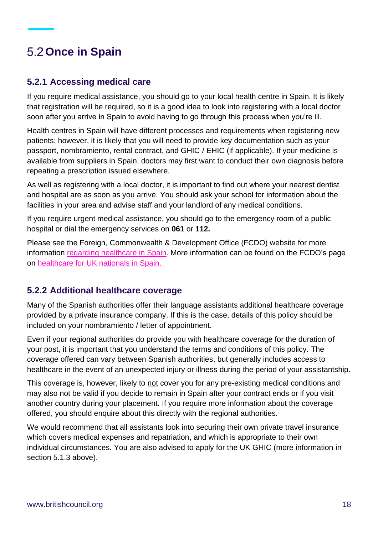### <span id="page-17-0"></span>**Once in Spain**

#### <span id="page-17-1"></span>**5.2.1 Accessing medical care**

If you require medical assistance, you should go to your local health centre in Spain. It is likely that registration will be required, so it is a good idea to look into registering with a local doctor soon after you arrive in Spain to avoid having to go through this process when you're ill.

Health centres in Spain will have different processes and requirements when registering new patients; however, it is likely that you will need to provide key documentation such as your passport, nombramiento, rental contract, and GHIC / EHIC (if applicable). If your medicine is available from suppliers in Spain, doctors may first want to conduct their own diagnosis before repeating a prescription issued elsewhere.

As well as registering with a local doctor, it is important to find out where your nearest dentist and hospital are as soon as you arrive. You should ask your school for information about the facilities in your area and advise staff and your landlord of any medical conditions.

If you require urgent medical assistance, you should go to the emergency room of a public hospital or dial the emergency services on **061** or **112.**

Please see the Foreign, Commonwealth & Development Office (FCDO) website for more information [regarding healthcare in Spain](https://www.gov.uk/foreign-travel-advice/spain/health). More information can be found on the FCDO's page on [healthcare for UK nationals in Spain.](https://www.gov.uk/guidance/healthcare-in-spain-including-the-balearic-and-canary-islands)

#### <span id="page-17-2"></span>**5.2.2 Additional healthcare coverage**

Many of the Spanish authorities offer their language assistants additional healthcare coverage provided by a private insurance company. If this is the case, details of this policy should be included on your nombramiento / letter of appointment.

Even if your regional authorities do provide you with healthcare coverage for the duration of your post, it is important that you understand the terms and conditions of this policy. The coverage offered can vary between Spanish authorities, but generally includes access to healthcare in the event of an unexpected injury or illness during the period of your assistantship.

This coverage is, however, likely to not cover you for any pre-existing medical conditions and may also not be valid if you decide to remain in Spain after your contract ends or if you visit another country during your placement. If you require more information about the coverage offered, you should enquire about this directly with the regional authorities.

We would recommend that all assistants look into securing their own private travel insurance which covers medical expenses and repatriation, and which is appropriate to their own individual circumstances. You are also advised to apply for the UK GHIC (more information in section 5.1.3 above).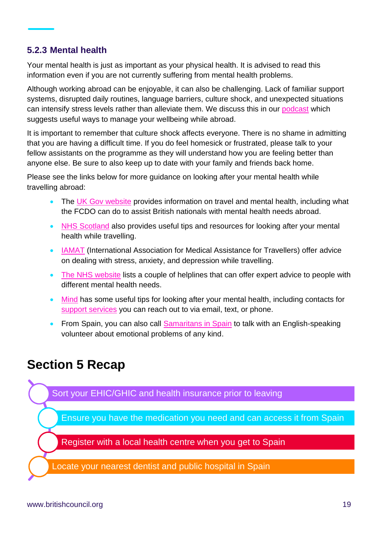#### <span id="page-18-0"></span>**5.2.3 Mental health**

Your mental health is just as important as your physical health. It is advised to read this information even if you are not currently suffering from mental health problems.

Although working abroad can be enjoyable, it can also be challenging. Lack of familiar support systems, disrupted daily routines, language barriers, culture shock, and unexpected situations can intensify stress levels rather than alleviate them. We discuss this in our [podcast](https://anchor.fm/LanguageAssistants/episodes/Wellbeing-e9u1hl) which suggests useful ways to manage your wellbeing while abroad.

It is important to remember that culture shock affects everyone. There is no shame in admitting that you are having a difficult time. If you do feel homesick or frustrated, please talk to your fellow assistants on the programme as they will understand how you are feeling better than anyone else. Be sure to also keep up to date with your family and friends back home.

Please see the links below for more guidance on looking after your mental health while travelling abroad:

- The [UK Gov website](http://www.gov.uk/government/publications/mental-health) provides information on travel and mental health, including what the FCDO can do to assist British nationals with mental health needs abroad.
- [NHS Scotland](https://www.fitfortravel.nhs.uk/advice/general-travel-health-advice/mental-health-and-travel) also provides useful tips and resources for looking after your mental health while travelling.
- [IAMAT](https://www.iamat.org/general-resources#mentalHealth) (International Association for Medical Assistance for Travellers) offer advice on dealing with stress, anxiety, and depression while travelling.
- [The NHS website](https://www.nhs.uk/mental-health/nhs-voluntary-charity-services/charity-and-voluntary-services/get-help-from-mental-health-helplines/) lists a couple of helplines that can offer expert advice to people with different mental health needs.
- [Mind](https://www.mind.org.uk/information-support/) has some useful tips for looking after your mental health, including contacts for [support services](https://www.mind.org.uk/information-support/guides-to-support-and-services/crisis-services/useful-contacts/) you can reach out to via email, text, or phone.
- From Spain, you can also call [Samaritans in Spain](https://www.samaritansinspain.com/) to talk with an English-speaking volunteer about emotional problems of any kind.

### **Section 5 Recap**

Sort your EHIC/GHIC and health insurance prior to leaving

Ensure you have the medication you need and can access it from Spain

Register with a local health centre when you get to Spain

Locate your nearest dentist and public hospital in Spain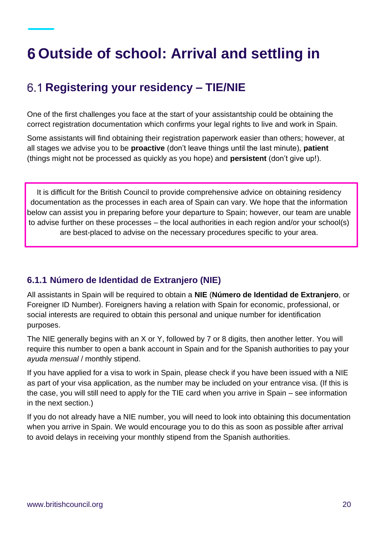# <span id="page-19-0"></span>**Outside of school: Arrival and settling in**

### <span id="page-19-1"></span>**Registering your residency – TIE/NIE**

One of the first challenges you face at the start of your assistantship could be obtaining the correct registration documentation which confirms your legal rights to live and work in Spain.

Some assistants will find obtaining their registration paperwork easier than others; however, at all stages we advise you to be **proactive** (don't leave things until the last minute), **patient** (things might not be processed as quickly as you hope) and **persistent** (don't give up!).

It is difficult for the British Council to provide comprehensive advice on obtaining residency documentation as the processes in each area of Spain can vary. We hope that the information below can assist you in preparing before your departure to Spain; however, our team are unable to advise further on these processes – the local authorities in each region and/or your school(s) are best-placed to advise on the necessary procedures specific to your area.

#### <span id="page-19-2"></span>**6.1.1 Número de Identidad de Extranjero (NIE)**

All assistants in Spain will be required to obtain a **NIE** (**Número de Identidad de Extranjero**, or Foreigner ID Number). Foreigners having a relation with Spain for economic, professional, or social interests are required to obtain this personal and unique number for identification purposes.

The NIE generally begins with an X or Y, followed by 7 or 8 digits, then another letter. You will require this number to open a bank account in Spain and for the Spanish authorities to pay your *ayuda mensual* / monthly stipend.

If you have applied for a visa to work in Spain, please check if you have been issued with a NIE as part of your visa application, as the number may be included on your entrance visa. (If this is the case, you will still need to apply for the TIE card when you arrive in Spain – see information in the next section.)

If you do not already have a NIE number, you will need to look into obtaining this documentation when you arrive in Spain. We would encourage you to do this as soon as possible after arrival to avoid delays in receiving your monthly stipend from the Spanish authorities.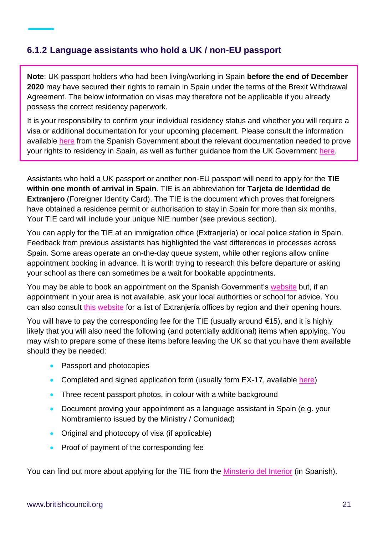#### <span id="page-20-0"></span>**6.1.2 Language assistants who hold a UK / non-EU passport**

**Note**: UK passport holders who had been living/working in Spain **before the end of December 2020** may have secured their rights to remain in Spain under the terms of the Brexit Withdrawal Agreement. The below information on visas may therefore not be applicable if you already possess the correct residency paperwork.

It is your responsibility to confirm your individual residency status and whether you will require a visa or additional documentation for your upcoming placement. Please consult the information available [here](https://www.inclusion.gob.es/ficheros/brexit/nota_aclaratoria_green_certificate.pdf?fbclid=IwAR2GCT0isU4mGDbLPS-dXwbgIKHl_aK5d0KOdThjzkGkTQPp239xV3LMn2Y) from the Spanish Government about the relevant documentation needed to prove your rights to residency in Spain, as well as further guidance from the UK Government [here.](https://www.gov.uk/guidance/residency-requirements-in-spain)

Assistants who hold a UK passport or another non-EU passport will need to apply for the **TIE within one month of arrival in Spain**. TIE is an abbreviation for **Tarjeta de Identidad de Extranjero** (Foreigner Identity Card). The TIE is the document which proves that foreigners have obtained a residence permit or authorisation to stay in Spain for more than six months. Your TIE card will include your unique NIE number (see previous section).

You can apply for the TIE at an immigration office (Extranjería) or local police station in Spain. Feedback from previous assistants has highlighted the vast differences in processes across Spain. Some areas operate an on-the-day queue system, while other regions allow online appointment booking in advance. It is worth trying to research this before departure or asking your school as there can sometimes be a wait for bookable appointments.

You may be able to book an appointment on the Spanish Government's [website](https://sede.administracionespublicas.gob.es/icpplus/index.html) but, if an appointment in your area is not available, ask your local authorities or school for advice. You can also consult [this website](https://www.mptfp.gob.es/portal/delegaciones_gobierno/extranjeria/extranjeria_ddgg.htm) for a list of Extranjería offices by region and their opening hours.

You will have to pay the corresponding fee for the TIE (usually around  $\epsilon$ 15), and it is highly likely that you will also need the following (and potentially additional) items when applying. You may wish to prepare some of these items before leaving the UK so that you have them available should they be needed:

- Passport and photocopies
- Completed and signed application form (usually form EX-17, available [here\)](https://extranjeros.inclusion.gob.es/ficheros/Modelos_solicitudes/mod_solicitudes2/17-Formulario_TIE.pdf)
- Three recent passport photos, in colour with a white background
- Document proving your appointment as a language assistant in Spain (e.g. your Nombramiento issued by the Ministry / Comunidad)
- Original and photocopy of visa (if applicable)
- Proof of payment of the corresponding fee

You can find out more about applying for the TIE from the [Minsterio del Interior](http://www.interior.gob.es/en/web/servicios-al-ciudadano/extranjeria/regimen-general/tarjeta-de-identidad-de-extranjero) (in Spanish).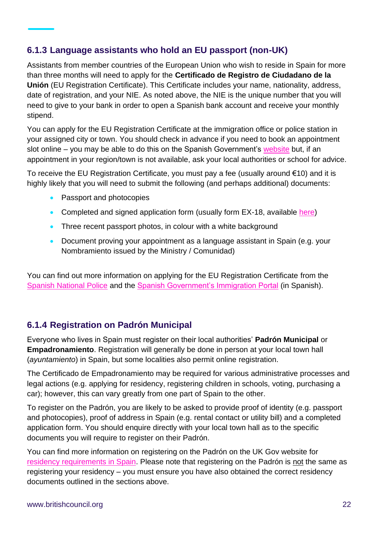#### <span id="page-21-0"></span>**6.1.3 Language assistants who hold an EU passport (non-UK)**

Assistants from member countries of the European Union who wish to reside in Spain for more than three months will need to apply for the **Certificado de Registro de Ciudadano de la Unión** (EU Registration Certificate). This Certificate includes your name, nationality, address, date of registration, and your NIE. As noted above, the NIE is the unique number that you will need to give to your bank in order to open a Spanish bank account and receive your monthly stipend.

You can apply for the EU Registration Certificate at the immigration office or police station in your assigned city or town. You should check in advance if you need to book an appointment slot online – you may be able to do this on the Spanish Government's [website](https://sede.administracionespublicas.gob.es/icpplus/index.html) but, if an appointment in your region/town is not available, ask your local authorities or school for advice.

To receive the EU Registration Certificate, you must pay a fee (usually around €10) and it is highly likely that you will need to submit the following (and perhaps additional) documents:

- Passport and photocopies
- Completed and signed application form (usually form EX-18, available [here\)](https://extranjeros.inclusion.gob.es/ficheros/Modelos_solicitudes/mod_solicitudes2/18-Certificado_residencia_comunitaria.pdf)
- Three recent passport photos, in colour with a white background
- Document proving your appointment as a language assistant in Spain (e.g. your Nombramiento issued by the Ministry / Comunidad)

You can find out more information on applying for the EU Registration Certificate from the [Spanish National Police](https://sede.policia.gob.es/portalCiudadano/extranjeria/pr_cer_reg_ue.html) and the [Spanish Government's Immigration Portal](https://extranjeros.inclusion.gob.es/es/informacioninteres/informacionprocedimientos/ciudadanoscomunitarios/hoja101/index.html) (in Spanish).

#### <span id="page-21-1"></span>**6.1.4 Registration on Padrón Municipal**

Everyone who lives in Spain must register on their local authorities' **Padrón Municipal** or **Empadronamiento**. Registration will generally be done in person at your local town hall (*ayuntamiento*) in Spain, but some localities also permit online registration.

The Certificado de Empadronamiento may be required for various administrative processes and legal actions (e.g. applying for residency, registering children in schools, voting, purchasing a car); however, this can vary greatly from one part of Spain to the other.

To register on the Padrón, you are likely to be asked to provide proof of identity (e.g. passport and photocopies), proof of address in Spain (e.g. rental contact or utility bill) and a completed application form. You should enquire directly with your local town hall as to the specific documents you will require to register on their Padrón.

You can find more information on registering on the Padrón on the UK Gov website for [residency requirements in Spain.](https://www.gov.uk/guidance/residency-requirements-in-spain#register-on-the-padrn) Please note that registering on the Padrón is not the same as registering your residency – you must ensure you have also obtained the correct residency documents outlined in the sections above.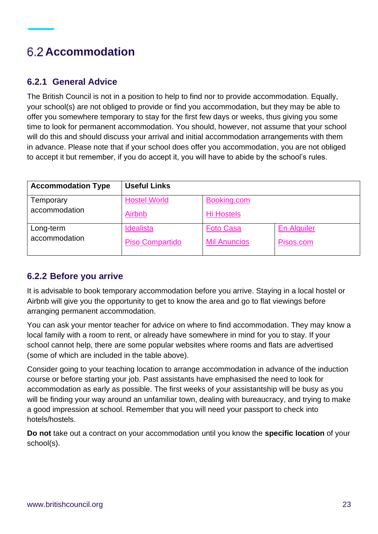### <span id="page-22-0"></span>**Accommodation**

#### <span id="page-22-1"></span>**6.2.1 General Advice**

The British Council is not in a position to help to find nor to provide accommodation. Equally, your school(s) are not obliged to provide or find you accommodation, but they may be able to offer you somewhere temporary to stay for the first few days or weeks, thus giving you some time to look for permanent accommodation. You should, however, not assume that your school will do this and should discuss your arrival and initial accommodation arrangements with them in advance. Please note that if your school does offer you accommodation, you are not obliged to accept it but remember, if you do accept it, you will have to abide by the school's rules.

| <b>Accommodation Type</b> | <b>Useful Links</b>    |                     |                    |
|---------------------------|------------------------|---------------------|--------------------|
| Temporary                 | <b>Hostel World</b>    | Booking.com         |                    |
| accommodation             | Airbnb                 | <b>Hi Hostels</b>   |                    |
| Long-term                 | Idealista              | <b>Foto Casa</b>    | <b>En Alquiler</b> |
| accommodation             | <b>Piso Compartido</b> | <b>Mil Anuncios</b> | Pisos.com          |

#### <span id="page-22-2"></span>**6.2.2 Before you arrive**

It is advisable to book temporary accommodation before you arrive. Staying in a local hostel or Airbnb will give you the opportunity to get to know the area and go to flat viewings before arranging permanent accommodation.

You can ask your mentor teacher for advice on where to find accommodation. They may know a local family with a room to rent, or already have somewhere in mind for you to stay. If your school cannot help, there are some popular websites where rooms and flats are advertised (some of which are included in the table above).

Consider going to your teaching location to arrange accommodation in advance of the induction course or before starting your job. Past assistants have emphasised the need to look for accommodation as early as possible. The first weeks of your assistantship will be busy as you will be finding your way around an unfamiliar town, dealing with bureaucracy, and trying to make a good impression at school. Remember that you will need your passport to check into hotels/hostels.

**Do not** take out a contract on your accommodation until you know the **specific location** of your school(s).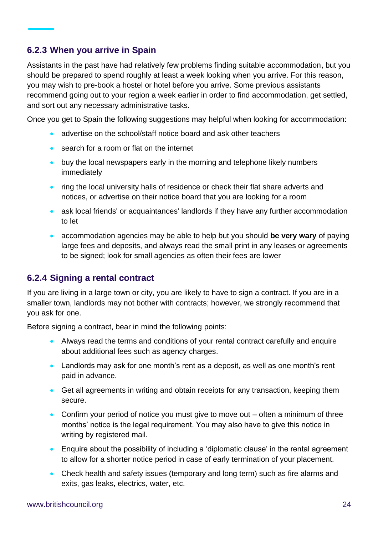#### <span id="page-23-0"></span>**6.2.3 When you arrive in Spain**

Assistants in the past have had relatively few problems finding suitable accommodation, but you should be prepared to spend roughly at least a week looking when you arrive. For this reason, you may wish to pre-book a hostel or hotel before you arrive. Some previous assistants recommend going out to your region a week earlier in order to find accommodation, get settled, and sort out any necessary administrative tasks.

Once you get to Spain the following suggestions may helpful when looking for accommodation:

- advertise on the school/staff notice board and ask other teachers
- search for a room or flat on the internet
- buy the local newspapers early in the morning and telephone likely numbers immediately
- ring the local university halls of residence or check their flat share adverts and notices, or advertise on their notice board that you are looking for a room
- ask local friends' or acquaintances' landlords if they have any further accommodation to let
- accommodation agencies may be able to help but you should **be very wary** of paying large fees and deposits, and always read the small print in any leases or agreements to be signed; look for small agencies as often their fees are lower

#### <span id="page-23-1"></span>**6.2.4 Signing a rental contract**

If you are living in a large town or city, you are likely to have to sign a contract. If you are in a smaller town, landlords may not bother with contracts; however, we strongly recommend that you ask for one.

Before signing a contract, bear in mind the following points:

- Always read the terms and conditions of your rental contract carefully and enquire about additional fees such as agency charges.
- Landlords may ask for one month's rent as a deposit, as well as one month's rent paid in advance.
- Get all agreements in writing and obtain receipts for any transaction, keeping them secure.
- Confirm your period of notice you must give to move out often a minimum of three months' notice is the legal requirement. You may also have to give this notice in writing by registered mail.
- Enquire about the possibility of including a 'diplomatic clause' in the rental agreement to allow for a shorter notice period in case of early termination of your placement.
- Check health and safety issues (temporary and long term) such as fire alarms and exits, gas leaks, electrics, water, etc.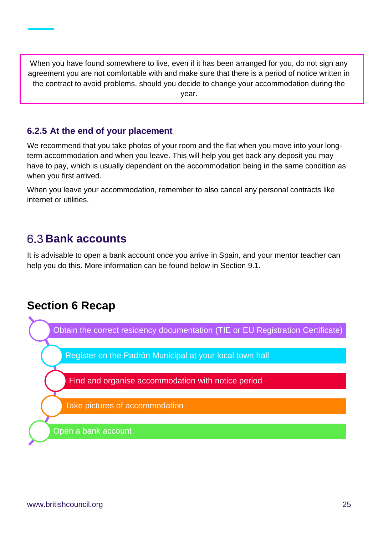When you have found somewhere to live, even if it has been arranged for you, do not sign any agreement you are not comfortable with and make sure that there is a period of notice written in the contract to avoid problems, should you decide to change your accommodation during the year.

#### <span id="page-24-0"></span>**6.2.5 At the end of your placement**

We recommend that you take photos of your room and the flat when you move into your longterm accommodation and when you leave. This will help you get back any deposit you may have to pay, which is usually dependent on the accommodation being in the same condition as when you first arrived.

When you leave your accommodation, remember to also cancel any personal contracts like internet or utilities.

### <span id="page-24-1"></span>**Bank accounts**

It is advisable to open a bank account once you arrive in Spain, and your mentor teacher can help you do this. More information can be found below in Section 9.1.

### **Section 6 Recap**

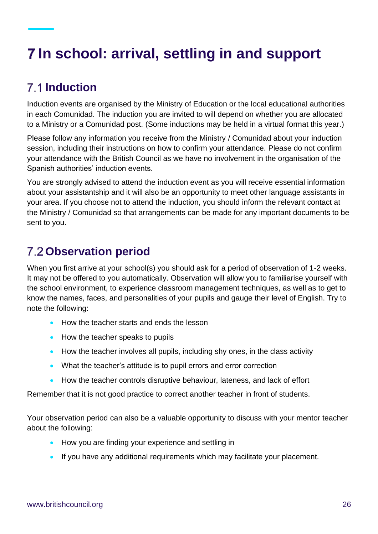# <span id="page-25-0"></span>**In school: arrival, settling in and support**

### <span id="page-25-1"></span>**Induction**

Induction events are organised by the Ministry of Education or the local educational authorities in each Comunidad. The induction you are invited to will depend on whether you are allocated to a Ministry or a Comunidad post. (Some inductions may be held in a virtual format this year.)

Please follow any information you receive from the Ministry / Comunidad about your induction session, including their instructions on how to confirm your attendance. Please do not confirm your attendance with the British Council as we have no involvement in the organisation of the Spanish authorities' induction events.

You are strongly advised to attend the induction event as you will receive essential information about your assistantship and it will also be an opportunity to meet other language assistants in your area. If you choose not to attend the induction, you should inform the relevant contact at the Ministry / Comunidad so that arrangements can be made for any important documents to be sent to you.

### <span id="page-25-2"></span>**Observation period**

When you first arrive at your school(s) you should ask for a period of observation of 1-2 weeks. It may not be offered to you automatically. Observation will allow you to familiarise yourself with the school environment, to experience classroom management techniques, as well as to get to know the names, faces, and personalities of your pupils and gauge their level of English. Try to note the following:

- How the teacher starts and ends the lesson
- How the teacher speaks to pupils
- How the teacher involves all pupils, including shy ones, in the class activity
- What the teacher's attitude is to pupil errors and error correction
- How the teacher controls disruptive behaviour, lateness, and lack of effort

Remember that it is not good practice to correct another teacher in front of students.

Your observation period can also be a valuable opportunity to discuss with your mentor teacher about the following:

- How you are finding your experience and settling in
- If you have any additional requirements which may facilitate your placement.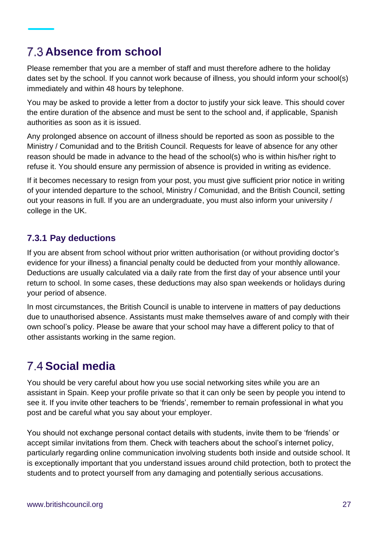### <span id="page-26-0"></span>**Absence from school**

Please remember that you are a member of staff and must therefore adhere to the holiday dates set by the school. If you cannot work because of illness, you should inform your school(s) immediately and within 48 hours by telephone.

You may be asked to provide a letter from a doctor to justify your sick leave. This should cover the entire duration of the absence and must be sent to the school and, if applicable, Spanish authorities as soon as it is issued.

Any prolonged absence on account of illness should be reported as soon as possible to the Ministry / Comunidad and to the British Council. Requests for leave of absence for any other reason should be made in advance to the head of the school(s) who is within his/her right to refuse it. You should ensure any permission of absence is provided in writing as evidence.

If it becomes necessary to resign from your post, you must give sufficient prior notice in writing of your intended departure to the school, Ministry / Comunidad, and the British Council, setting out your reasons in full. If you are an undergraduate, you must also inform your university / college in the UK.

#### <span id="page-26-1"></span>**7.3.1 Pay deductions**

If you are absent from school without prior written authorisation (or without providing doctor's evidence for your illness) a financial penalty could be deducted from your monthly allowance. Deductions are usually calculated via a daily rate from the first day of your absence until your return to school. In some cases, these deductions may also span weekends or holidays during your period of absence.

In most circumstances, the British Council is unable to intervene in matters of pay deductions due to unauthorised absence. Assistants must make themselves aware of and comply with their own school's policy. Please be aware that your school may have a different policy to that of other assistants working in the same region.

### <span id="page-26-2"></span>**Social media**

You should be very careful about how you use social networking sites while you are an assistant in Spain. Keep your profile private so that it can only be seen by people you intend to see it. If you invite other teachers to be 'friends', remember to remain professional in what you post and be careful what you say about your employer.

You should not exchange personal contact details with students, invite them to be 'friends' or accept similar invitations from them. Check with teachers about the school's internet policy, particularly regarding online communication involving students both inside and outside school. It is exceptionally important that you understand issues around child protection, both to protect the students and to protect yourself from any damaging and potentially serious accusations.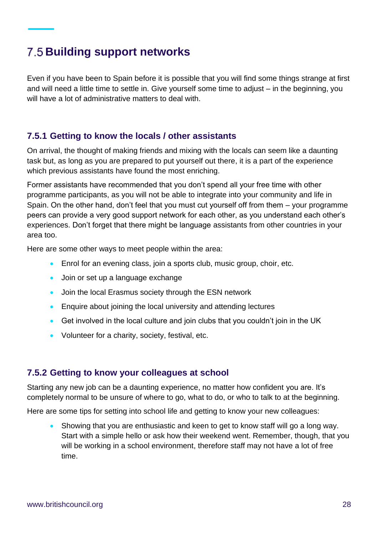### <span id="page-27-0"></span>**Building support networks**

Even if you have been to Spain before it is possible that you will find some things strange at first and will need a little time to settle in. Give yourself some time to adjust – in the beginning, you will have a lot of administrative matters to deal with.

#### <span id="page-27-1"></span>**7.5.1 Getting to know the locals / other assistants**

On arrival, the thought of making friends and mixing with the locals can seem like a daunting task but, as long as you are prepared to put yourself out there, it is a part of the experience which previous assistants have found the most enriching.

Former assistants have recommended that you don't spend all your free time with other programme participants, as you will not be able to integrate into your community and life in Spain. On the other hand, don't feel that you must cut yourself off from them – your programme peers can provide a very good support network for each other, as you understand each other's experiences. Don't forget that there might be language assistants from other countries in your area too.

Here are some other ways to meet people within the area:

- Enrol for an evening class, join a sports club, music group, choir, etc.
- Join or set up a language exchange
- Join the local Erasmus society through the ESN network
- Enquire about joining the local university and attending lectures
- Get involved in the local culture and join clubs that you couldn't join in the UK
- Volunteer for a charity, society, festival, etc.

#### <span id="page-27-2"></span>**7.5.2 Getting to know your colleagues at school**

Starting any new job can be a daunting experience, no matter how confident you are. It's completely normal to be unsure of where to go, what to do, or who to talk to at the beginning.

Here are some tips for setting into school life and getting to know your new colleagues:

• Showing that you are enthusiastic and keen to get to know staff will go a long way. Start with a simple hello or ask how their weekend went. Remember, though, that you will be working in a school environment, therefore staff may not have a lot of free time.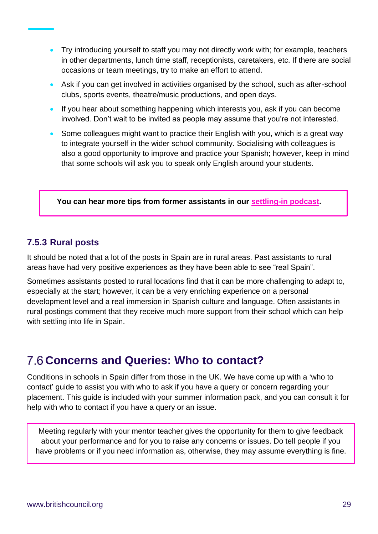- Try introducing yourself to staff you may not directly work with; for example, teachers in other departments, lunch time staff, receptionists, caretakers, etc. If there are social occasions or team meetings, try to make an effort to attend.
- Ask if you can get involved in activities organised by the school, such as after-school clubs, sports events, theatre/music productions, and open days.
- If you hear about something happening which interests you, ask if you can become involved. Don't wait to be invited as people may assume that you're not interested.
- Some colleagues might want to practice their English with you, which is a great way to integrate yourself in the wider school community. Socialising with colleagues is also a good opportunity to improve and practice your Spanish; however, keep in mind that some schools will ask you to speak only English around your students.

**You can hear more tips from former assistants in our [settling-in podcast.](https://anchor.fm/LanguageAssistants/episodes/Settling-In-es6rj0)**

#### <span id="page-28-0"></span>**7.5.3 Rural posts**

It should be noted that a lot of the posts in Spain are in rural areas. Past assistants to rural areas have had very positive experiences as they have been able to see "real Spain".

Sometimes assistants posted to rural locations find that it can be more challenging to adapt to, especially at the start; however, it can be a very enriching experience on a personal development level and a real immersion in Spanish culture and language. Often assistants in rural postings comment that they receive much more support from their school which can help with settling into life in Spain.

### <span id="page-28-1"></span>**Concerns and Queries: Who to contact?**

Conditions in schools in Spain differ from those in the UK. We have come up with a 'who to contact' guide to assist you with who to ask if you have a query or concern regarding your placement. This guide is included with your summer information pack, and you can consult it for help with who to contact if you have a query or an issue.

Meeting regularly with your mentor teacher gives the opportunity for them to give feedback about your performance and for you to raise any concerns or issues. Do tell people if you have problems or if you need information as, otherwise, they may assume everything is fine.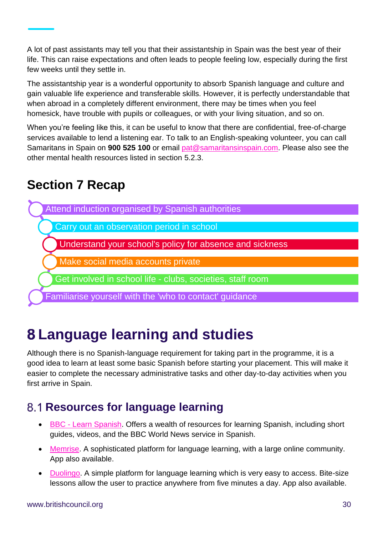A lot of past assistants may tell you that their assistantship in Spain was the best year of their life. This can raise expectations and often leads to people feeling low, especially during the first few weeks until they settle in.

The assistantship year is a wonderful opportunity to absorb Spanish language and culture and gain valuable life experience and transferable skills. However, it is perfectly understandable that when abroad in a completely different environment, there may be times when you feel homesick, have trouble with pupils or colleagues, or with your living situation, and so on.

When you're feeling like this, it can be useful to know that there are confidential, free-of-charge services available to lend a listening ear. To talk to an English-speaking volunteer, you can call Samaritans in Spain on **900 525 100** or email [pat@samaritansinspain.com.](mailto:pat@samaritansinspain.com) Please also see the other mental health resources listed in section 5.2.3.

### **Section 7 Recap**



# <span id="page-29-0"></span>**Language learning and studies**

Although there is no Spanish-language requirement for taking part in the programme, it is a good idea to learn at least some basic Spanish before starting your placement. This will make it easier to complete the necessary administrative tasks and other day-to-day activities when you first arrive in Spain.

### <span id="page-29-1"></span>**8.1 Resources for language learning**

- BBC [Learn Spanish.](http://www.bbc.co.uk/languages/spanish/) Offers a wealth of resources for learning Spanish, including short guides, videos, and the BBC World News service in Spanish.
- [Memrise.](https://app.memrise.com/bienvenue?source_language=en#1) A sophisticated platform for language learning, with a large online community. App also available.
- [Duolingo.](https://www.duolingo.com/) A simple platform for language learning which is very easy to access. Bite-size lessons allow the user to practice anywhere from five minutes a day. App also available.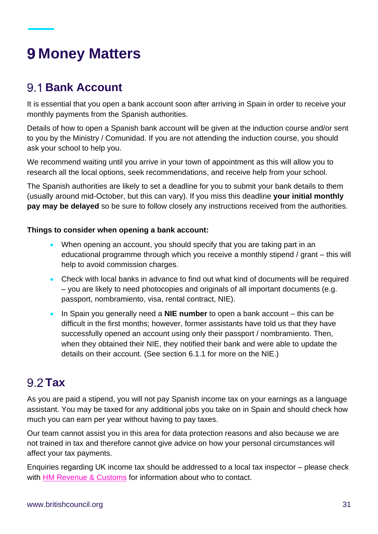# <span id="page-30-0"></span>**Money Matters**

### <span id="page-30-1"></span>**Bank Account**

It is essential that you open a bank account soon after arriving in Spain in order to receive your monthly payments from the Spanish authorities.

Details of how to open a Spanish bank account will be given at the induction course and/or sent to you by the Ministry / Comunidad. If you are not attending the induction course, you should ask your school to help you.

We recommend waiting until you arrive in your town of appointment as this will allow you to research all the local options, seek recommendations, and receive help from your school.

The Spanish authorities are likely to set a deadline for you to submit your bank details to them (usually around mid-October, but this can vary). If you miss this deadline **your initial monthly pay may be delayed** so be sure to follow closely any instructions received from the authorities.

#### **Things to consider when opening a bank account:**

- When opening an account, you should specify that you are taking part in an educational programme through which you receive a monthly stipend / grant – this will help to avoid commission charges.
- Check with local banks in advance to find out what kind of documents will be required – you are likely to need photocopies and originals of all important documents (e.g. passport, nombramiento, visa, rental contract, NIE).
- In Spain you generally need a **NIE number** to open a bank account this can be difficult in the first months; however, former assistants have told us that they have successfully opened an account using only their passport / nombramiento. Then, when they obtained their NIE, they notified their bank and were able to update the details on their account. (See section 6.1.1 for more on the NIE.)

### <span id="page-30-2"></span>9.2 Tax

As you are paid a stipend, you will not pay Spanish income tax on your earnings as a language assistant. You may be taxed for any additional jobs you take on in Spain and should check how much you can earn per year without having to pay taxes.

Our team cannot assist you in this area for data protection reasons and also because we are not trained in tax and therefore cannot give advice on how your personal circumstances will affect your tax payments.

Enquiries regarding UK income tax should be addressed to a local tax inspector – please check with [HM Revenue & Customs](https://www.gov.uk/government/organisations/hm-revenue-customs) for information about who to contact.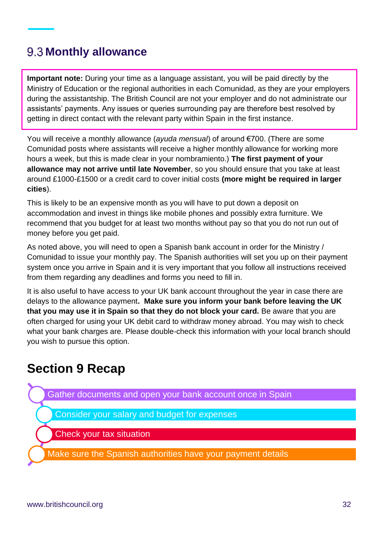### <span id="page-31-0"></span>**9.3 Monthly allowance**

**Important note:** During your time as a language assistant, you will be paid directly by the Ministry of Education or the regional authorities in each Comunidad, as they are your employers during the assistantship. The British Council are not your employer and do not administrate our assistants' payments. Any issues or queries surrounding pay are therefore best resolved by getting in direct contact with the relevant party within Spain in the first instance.

You will receive a monthly allowance (*ayuda mensual*) of around €700. (There are some Comunidad posts where assistants will receive a higher monthly allowance for working more hours a week, but this is made clear in your nombramiento.) **The first payment of your allowance may not arrive until late November**, so you should ensure that you take at least around £1000-£1500 or a credit card to cover initial costs **(more might be required in larger cities**).

This is likely to be an expensive month as you will have to put down a deposit on accommodation and invest in things like mobile phones and possibly extra furniture. We recommend that you budget for at least two months without pay so that you do not run out of money before you get paid.

As noted above, you will need to open a Spanish bank account in order for the Ministry / Comunidad to issue your monthly pay. The Spanish authorities will set you up on their payment system once you arrive in Spain and it is very important that you follow all instructions received from them regarding any deadlines and forms you need to fill in.

It is also useful to have access to your UK bank account throughout the year in case there are delays to the allowance payment**. Make sure you inform your bank before leaving the UK that you may use it in Spain so that they do not block your card.** Be aware that you are often charged for using your UK debit card to withdraw money abroad. You may wish to check what your bank charges are. Please double-check this information with your local branch should you wish to pursue this option.

### **Section 9 Recap**

Gather documents and open your bank account once in Spain

Consider your salary and budget for expenses

Check your tax situation

Make sure the Spanish authorities have your payment details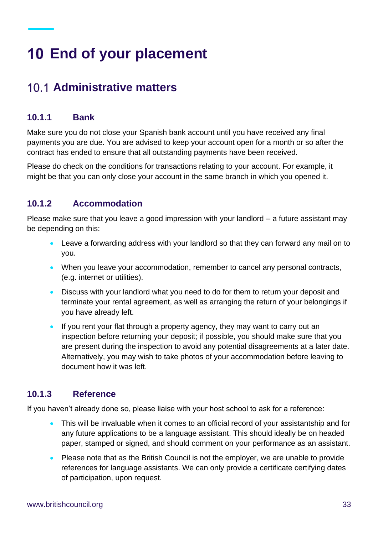# <span id="page-32-0"></span>**End of your placement**

### <span id="page-32-1"></span>**Administrative matters**

#### <span id="page-32-2"></span>**10.1.1 Bank**

Make sure you do not close your Spanish bank account until you have received any final payments you are due. You are advised to keep your account open for a month or so after the contract has ended to ensure that all outstanding payments have been received.

Please do check on the conditions for transactions relating to your account. For example, it might be that you can only close your account in the same branch in which you opened it.

#### <span id="page-32-3"></span>**10.1.2 Accommodation**

Please make sure that you leave a good impression with your landlord – a future assistant may be depending on this:

- Leave a forwarding address with your landlord so that they can forward any mail on to you.
- When you leave your accommodation, remember to cancel any personal contracts, (e.g. internet or utilities).
- Discuss with your landlord what you need to do for them to return your deposit and terminate your rental agreement, as well as arranging the return of your belongings if you have already left.
- If you rent your flat through a property agency, they may want to carry out an inspection before returning your deposit; if possible, you should make sure that you are present during the inspection to avoid any potential disagreements at a later date. Alternatively, you may wish to take photos of your accommodation before leaving to document how it was left.

#### <span id="page-32-4"></span>**10.1.3 Reference**

If you haven't already done so, please liaise with your host school to ask for a reference:

- This will be invaluable when it comes to an official record of your assistantship and for any future applications to be a language assistant. This should ideally be on headed paper, stamped or signed, and should comment on your performance as an assistant.
- Please note that as the British Council is not the employer, we are unable to provide references for language assistants. We can only provide a certificate certifying dates of participation, upon request.